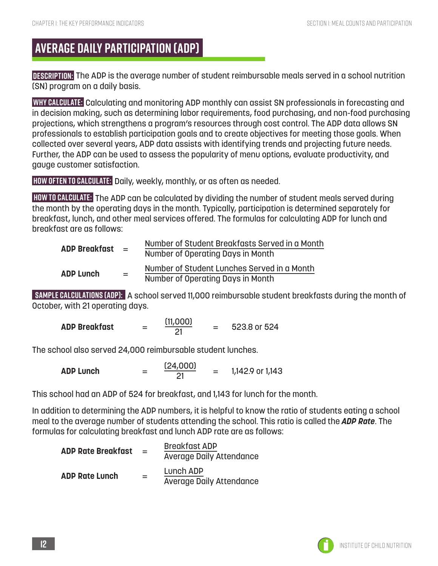# **AVERAGE DAILY PARTICIPATION (ADP)**

**DESCRIPTION:** The ADP is the average number of student reimbursable meals served in a school nutrition (SN) program on a daily basis.

**WHY CALCULATE:** Calculating and monitoring ADP monthly can assist SN professionals in forecasting and in decision making, such as determining labor requirements, food purchasing, and non-food purchasing projections, which strengthens a program's resources through cost control. The ADP data allows SN professionals to establish participation goals and to create objectives for meeting those goals. When collected over several years, ADP data assists with identifying trends and projecting future needs. Further, the ADP can be used to assess the popularity of menu options, evaluate productivity, and gauge customer satisfaction.

**HOW OFTEN TO CALCULATE:** Daily, weekly, monthly, or as often as needed.

**HOW TO CALCULATE:** The ADP can be calculated by dividing the number of student meals served during the month by the operating days in the month. Typically, participation is determined separately for breakfast, lunch, and other meal services offered. The formulas for calculating ADP for lunch and breakfast are as follows:

| <b>ADP Breakfast</b> | $=$ | Number of Student Breakfasts Served in a Month |
|----------------------|-----|------------------------------------------------|
|                      |     | Number of Operating Days in Month              |
| <b>ADP Lunch</b>     | $=$ | Number of Student Lunches Served in a Month    |
|                      |     | Number of Operating Days in Month              |

**SAMPLE CALCULATIONS (ADP):** A school served 11,000 reimbursable student breakfasts during the month of October, with 21 operating days.

| <b>ADP Breakfast</b> | -<br>- | (11,000) |  | 523.8 or 524 |
|----------------------|--------|----------|--|--------------|
|----------------------|--------|----------|--|--------------|

The school also served 24,000 reimbursable student lunches.

| <b>ADP Lunch</b> | _<br>_ | (24,000) |  | 1,142.9 or 1,143 |
|------------------|--------|----------|--|------------------|
|------------------|--------|----------|--|------------------|

This school had an ADP of 524 for breakfast, and 1,143 for lunch for the month.

In addition to determining the ADP numbers, it is helpful to know the ratio of students eating a school meal to the average number of students attending the school. This ratio is called the *ADP Rate*. The formulas for calculating breakfast and lunch ADP rate are as follows:

| <b>ADP Rate Breakfast</b> | $=$ | <b>Breakfast ADP</b><br><b>Average Daily Attendance</b> |
|---------------------------|-----|---------------------------------------------------------|
| <b>ADP Rate Lunch</b>     | $=$ | Lunch ADP<br><b>Average Daily Attendance</b>            |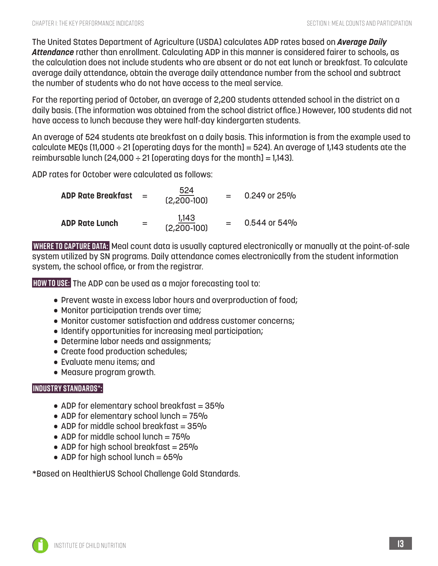The United States Department of Agriculture (USDA) calculates ADP rates based on *Average Daily Attendance* rather than enrollment. Calculating ADP in this manner is considered fairer to schools, as the calculation does not include students who are absent or do not eat lunch or breakfast. To calculate average daily attendance, obtain the average daily attendance number from the school and subtract the number of students who do not have access to the meal service.

For the reporting period of October, an average of 2,200 students attended school in the district on a daily basis. (The information was obtained from the school district office.) However, 100 students did not have access to lunch because they were half-day kindergarten students.

An average of 524 students ate breakfast on a daily basis. This information is from the example used to calculate MEQs (11,000  $\div$  21 [operating days for the month] = 524). An average of 1,143 students ate the reimbursable lunch (24,000  $\div$  21 [operating days for the month] = 1,143).

ADP rates for October were calculated as follows:

| <b>ADP Rate Breakfast</b> | $\mathbf{r} = \mathbf{r}$ | 524<br>$(2,200 - 100)$ | 0.249 or 25% |
|---------------------------|---------------------------|------------------------|--------------|
| <b>ADP Rate Lunch</b>     | $=$                       | 1,143<br>$(2,200-100)$ | 0.544 or 54% |

**WHERE TO CAPTURE DATA:** Meal count data is usually captured electronically or manually at the point-of-sale system utilized by SN programs. Daily attendance comes electronically from the student information system, the school office, or from the registrar.

**HOW TO USE:** The ADP can be used as a major forecasting tool to:

- Prevent waste in excess labor hours and overproduction of food;
- Monitor participation trends over time;
- Monitor customer satisfaction and address customer concerns;
- Identify opportunities for increasing meal participation;
- Determine labor needs and assignments;
- Create food production schedules;
- Evaluate menu items; and
- Measure program growth.

### **INDUSTRY STANDARDS\*:**

- ADP for elementary school breakfast  $= 35\%$
- ADP for elementary school lunch =  $75\%$
- ADP for middle school breakfast  $= 35\%$
- ADP for middle school lunch  $= 75\%$
- ADP for high school breakfast  $= 25\%$
- ADP for high school lunch  $= 65\%$

\*Based on HealthierUS School Challenge Gold Standards.